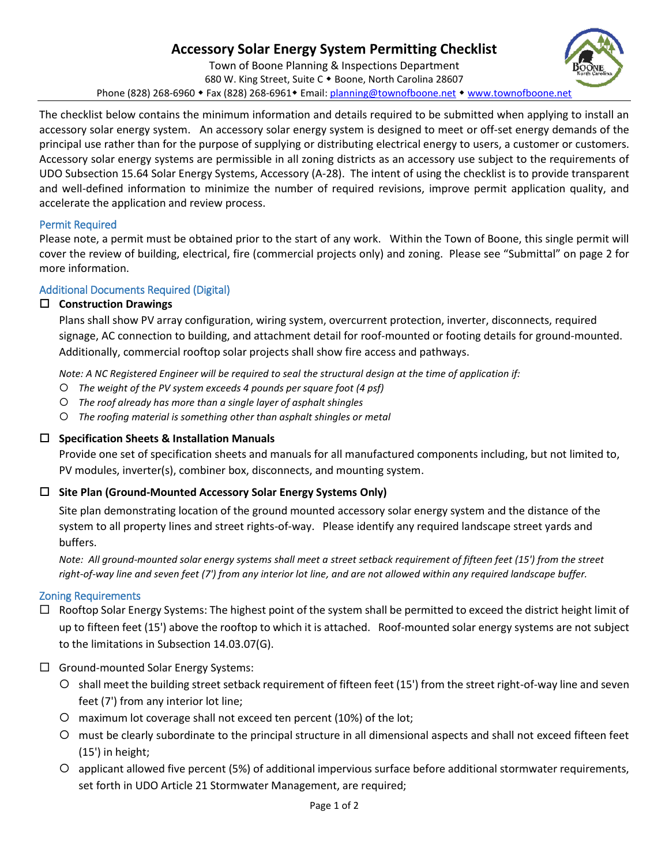# **Accessory Solar Energy System Permitting Checklist**

Town of Boone Planning & Inspections Department 680 W. King Street, Suite C . Boone, North Carolina 28607 Phone (828) 268-6960 • Fax (828) 268-6961 • Email: [planning@townofboone.net](mailto:planning@townofboone.net) • [www.townofboone.net](http://www.townofboone.net/)

The checklist below contains the minimum information and details required to be submitted when applying to install an accessory solar energy system. An accessory solar energy system is designed to meet or off-set energy demands of the principal use rather than for the purpose of supplying or distributing electrical energy to users, a customer or customers. Accessory solar energy systems are permissible in all zoning districts as an accessory use subject to the requirements of UDO Subsection 15.64 Solar Energy Systems, Accessory (A-28). The intent of using the checklist is to provide transparent and well-defined information to minimize the number of required revisions, improve permit application quality, and accelerate the application and review process.

# Permit Required

Please note, a permit must be obtained prior to the start of any work. Within the Town of Boone, this single permit will cover the review of building, electrical, fire (commercial projects only) and zoning. Please see "Submittal" on page 2 for more information.

# Additional Documents Required (Digital)

# **Construction Drawings**

Plans shall show PV array configuration, wiring system, overcurrent protection, inverter, disconnects, required signage, AC connection to building, and attachment detail for roof-mounted or footing details for ground-mounted. Additionally, commercial rooftop solar projects shall show fire access and pathways.

*Note: A NC Registered Engineer will be required to seal the structural design at the time of application if:*

- *The weight of the PV system exceeds 4 pounds per square foot (4 psf)*
- *The roof already has more than a single layer of asphalt shingles*
- *The roofing material is something other than asphalt shingles or metal*

## **Specification Sheets & Installation Manuals**

Provide one set of specification sheets and manuals for all manufactured components including, but not limited to, PV modules, inverter(s), combiner box, disconnects, and mounting system.

## **Site Plan (Ground-Mounted Accessory Solar Energy Systems Only)**

Site plan demonstrating location of the ground mounted accessory solar energy system and the distance of the system to all property lines and street rights-of-way. Please identify any required landscape street yards and buffers.

*Note: All ground-mounted solar energy systems shall meet a street setback requirement of fifteen feet (15') from the street right-of-way line and seven feet (7') from any interior lot line, and are not allowed within any required landscape buffer.*

## Zoning Requirements

- $\Box$  Rooftop Solar Energy Systems: The highest point of the system shall be permitted to exceed the district height limit of up to fifteen feet (15') above the rooftop to which it is attached. Roof-mounted solar energy systems are not subject to the limitations in Subsection 14.03.07(G).
- Ground-mounted Solar Energy Systems:
	- shall meet the building street setback requirement of fifteen feet (15') from the street right-of-way line and seven feet (7') from any interior lot line;
	- maximum lot coverage shall not exceed ten percent (10%) of the lot;
	- must be clearly subordinate to the principal structure in all dimensional aspects and shall not exceed fifteen feet (15') in height;
	- applicant allowed five percent (5%) of additional impervious surface before additional stormwater requirements, set forth in UDO Article 21 Stormwater Management, are required;